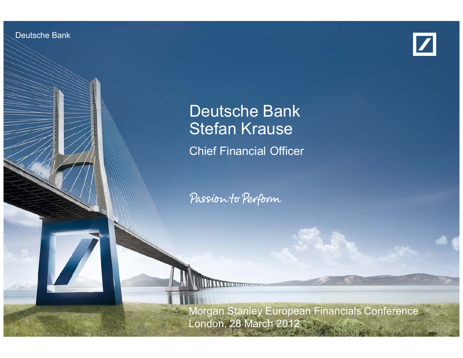Deutsche BankInvestor Relations



# Deutsche Bank Stefan Krause

Chief Financial Officer

Passion to Perform

Stefan Krause

**March 2012** European European Financials Conference 2012 Morgan Stanley European Financials Conference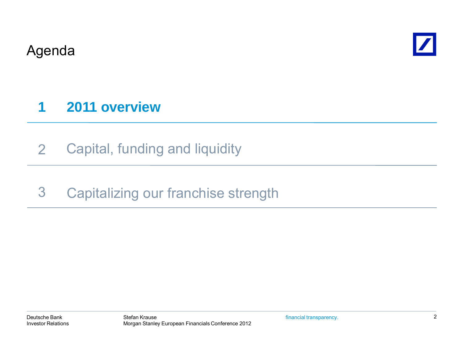Agenda



# **1 2011 overview**

- 2Capital, funding and liquidity
- 3Capitalizing our franchise strength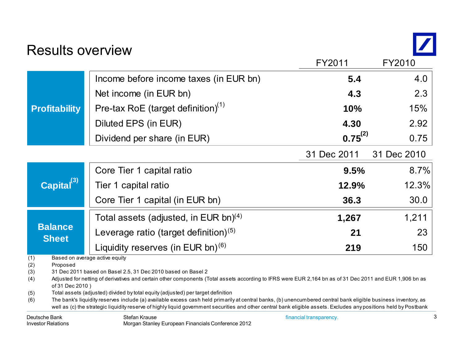Results overview



|                                        |                                                                                                                                                                                                                                                                                                                                                                                                                                                                                                                                                                                                                                                                                                                       |                                          | FY2011                  | FY2010      |  |  |  |  |
|----------------------------------------|-----------------------------------------------------------------------------------------------------------------------------------------------------------------------------------------------------------------------------------------------------------------------------------------------------------------------------------------------------------------------------------------------------------------------------------------------------------------------------------------------------------------------------------------------------------------------------------------------------------------------------------------------------------------------------------------------------------------------|------------------------------------------|-------------------------|-------------|--|--|--|--|
|                                        | <b>Profitability</b>                                                                                                                                                                                                                                                                                                                                                                                                                                                                                                                                                                                                                                                                                                  | Income before income taxes (in EUR bn)   | 5.4                     | 4.0         |  |  |  |  |
|                                        |                                                                                                                                                                                                                                                                                                                                                                                                                                                                                                                                                                                                                                                                                                                       | Net income (in EUR bn)                   | 4.3                     | 2.3         |  |  |  |  |
|                                        |                                                                                                                                                                                                                                                                                                                                                                                                                                                                                                                                                                                                                                                                                                                       | Pre-tax RoE (target definition) $(1)$    | 10%                     | 15%         |  |  |  |  |
|                                        |                                                                                                                                                                                                                                                                                                                                                                                                                                                                                                                                                                                                                                                                                                                       | Diluted EPS (in EUR)                     | 4.30                    | 2.92        |  |  |  |  |
|                                        |                                                                                                                                                                                                                                                                                                                                                                                                                                                                                                                                                                                                                                                                                                                       | Dividend per share (in EUR)              | $0.75^{(2)}$            | 0.75        |  |  |  |  |
|                                        |                                                                                                                                                                                                                                                                                                                                                                                                                                                                                                                                                                                                                                                                                                                       |                                          | 31 Dec 2011             | 31 Dec 2010 |  |  |  |  |
|                                        | Capital <sup>(3)</sup>                                                                                                                                                                                                                                                                                                                                                                                                                                                                                                                                                                                                                                                                                                | Core Tier 1 capital ratio                | 9.5%                    | 8.7%        |  |  |  |  |
|                                        |                                                                                                                                                                                                                                                                                                                                                                                                                                                                                                                                                                                                                                                                                                                       | Tier 1 capital ratio                     | 12.9%                   | 12.3%       |  |  |  |  |
|                                        |                                                                                                                                                                                                                                                                                                                                                                                                                                                                                                                                                                                                                                                                                                                       | Core Tier 1 capital (in EUR bn)          | 36.3                    | 30.0        |  |  |  |  |
|                                        |                                                                                                                                                                                                                                                                                                                                                                                                                                                                                                                                                                                                                                                                                                                       | Total assets (adjusted, in EUR bn) $(4)$ | 1,267                   | 1,211       |  |  |  |  |
| <b>Balance</b><br><b>Sheet</b>         |                                                                                                                                                                                                                                                                                                                                                                                                                                                                                                                                                                                                                                                                                                                       | Leverage ratio (target definition) $(5)$ | 21                      | 23          |  |  |  |  |
|                                        |                                                                                                                                                                                                                                                                                                                                                                                                                                                                                                                                                                                                                                                                                                                       | Liquidity reserves (in EUR bn) $(6)$     | 219                     | 150         |  |  |  |  |
| (1)<br>(2)<br>(3)<br>(4)<br>(5)<br>(6) | Based on average active equity<br>Proposed<br>31 Dec 2011 based on Basel 2.5, 31 Dec 2010 based on Basel 2<br>Adjusted for netting of derivatives and certain other components (Total assets according to IFRS were EUR 2,164 bn as of 31 Dec 2011 and EUR 1,906 bn as<br>of 31 Dec 2010)<br>Total assets (adjusted) divided by total equity (adjusted) per target definition<br>The bank's liquidity reserves include (a) available excess cash held primarily at central banks, (b) unencumbered central bank eligible business inventory, as<br>well as (c) the strategic liquidity reserve of highly liquid government securities and other central bank eligible assets. Excludes any positions held by Postbank |                                          |                         |             |  |  |  |  |
|                                        | Doutaghe Dank                                                                                                                                                                                                                                                                                                                                                                                                                                                                                                                                                                                                                                                                                                         | C <sub>total</sub>                       | financial transportance |             |  |  |  |  |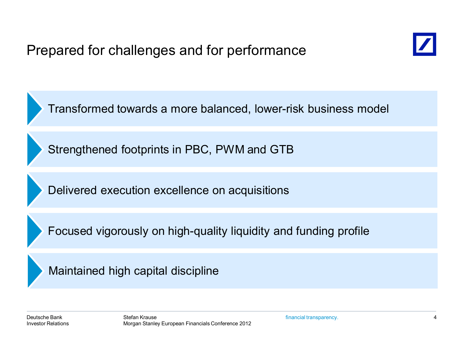

Transformed towards a more balanced, lower-risk business model

Strengthened footprints in PBC, PWM and GTB

Delivered execution excellence on acquisitions

Focused vigorously on high-quality liquidity and funding profile

Maintained high capital discipline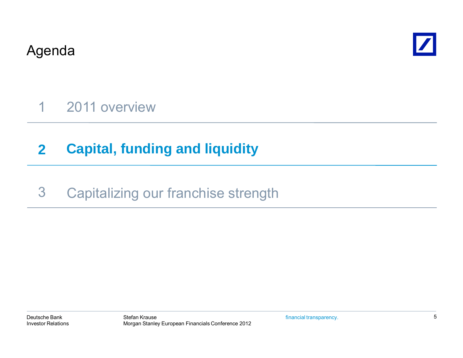Agenda



1 2011 overview

#### **2Capital, funding and liquidity**

#### 3Capitalizing our franchise strength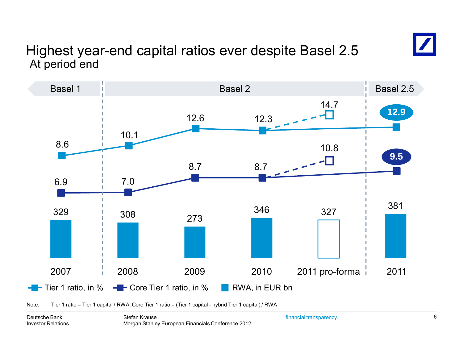## At period end Highest year-end capital ratios ever despite Basel 2.5



Note: Tier 1 ratio = Tier 1 capital / RWA; Core Tier 1 ratio = (Tier 1 capital - hybrid Tier 1 capital) / RWA

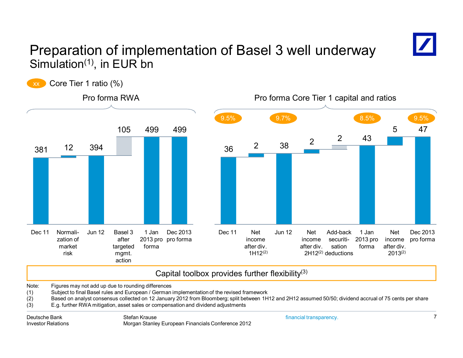

# Preparation of implementation of Basel 3 well underway Simulation $(1)$ , in EUR bn



Morgan Stanley European Financials Conference 2012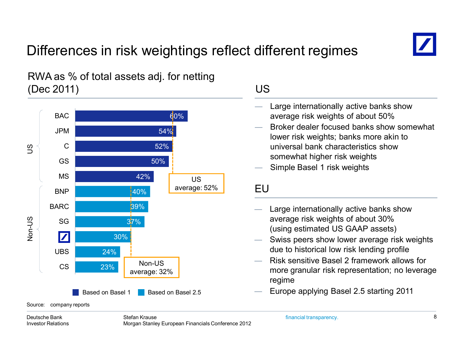# Differences in risk weightings reflect different regimes



### RWA as % of total assets adj. for netting (Dec 2011)



### US

- Large internationally active banks show average risk weights of about 50%
- Broker dealer focused banks show somewhat lower risk weights; banks more akin to universal bank characteristics show somewhat higher risk weights
- Simple Basel 1 risk weights

### EU

- 
- Swiss peers show lower average risk weights due to historical low risk lending profile
- Risk sensitive Basel 2 framework allows for more granular risk representation; no leverage regime
- Europe applying Basel 2.5 starting 2011

#### Deutsche BankInvestor Relations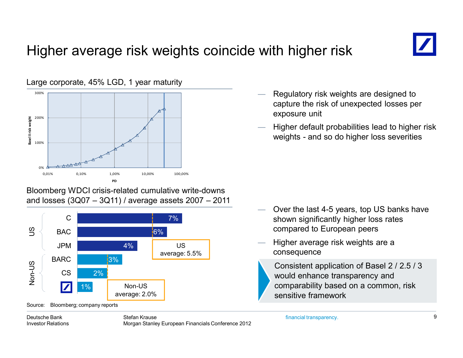# Higher average risk weights coincide with higher risk



#### Bloomberg WDCI crisis-related cumulative write-downs and losses (3Q07 – 3Q11) / average assets 2007 – 2011

![](_page_8_Figure_3.jpeg)

Source: Bloomberg; company reports

- Regulatory risk weights are designed to capture the risk of unexpected losses per exposure unit
- Higher default probabilities lead to higher risk weights - and so do higher loss severities

- Over the last 4-5 years, top US banks have shown significantly higher loss rates compared to European peers
- Higher average risk weights are a consequence
	- Consistent application of Basel 2 / 2.5 / 3 would enhance transparency and comparability based on a common, risk sensitive framework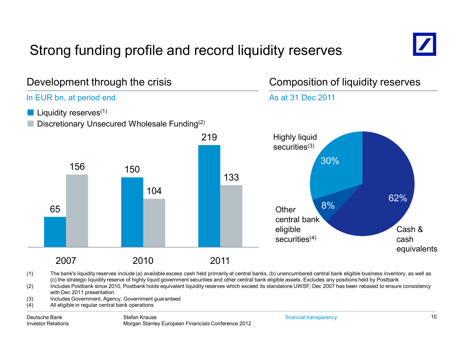# Strong funding profile and record liquidity reserves

![](_page_9_Picture_1.jpeg)

(1) The bank's liquidity reserves include (a) available excess cash held primarily at central banks, (b) unencumbered central bank eligible business inventory, as well as (c) the strategic liquidity reserve of highly liquid government securities and other central bank eligible assets. Excludes any positions held by Postbank

- (2) Includes Postbank since 2010, Postbank holds equivalent liquidity reserves which exceed its standalone UWSF; Dec 2007 has been rebased to ensure consistency with Dec 2011 presentation
- (3) Includes Government, Agency, Government guaranteed
- (4) All eligible in regular central bank operations

#### Deutsche BankInvestor Relations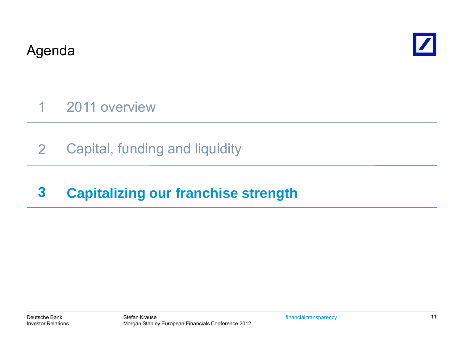Agenda

![](_page_10_Picture_1.jpeg)

1 2011 overview

2Capital, funding and liquidity

#### **3Capitalizing our franchise strength**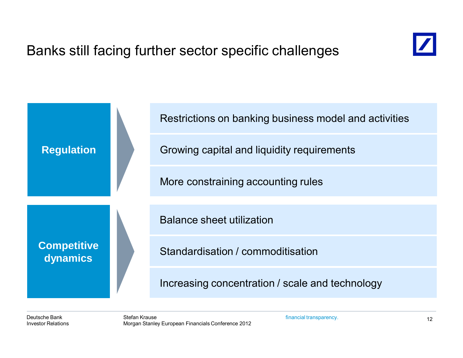![](_page_11_Picture_1.jpeg)

![](_page_11_Figure_2.jpeg)

Deutsche BankInvestor Relations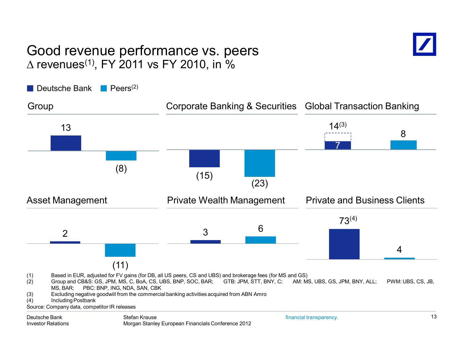### Good revenue performance vs. peers  $\Delta$  revenues $^{(1)}$ , FY 2011 vs FY 2010, in %

![](_page_12_Picture_1.jpeg)

Deutsche Bank Peers<sup>(2)</sup>

![](_page_12_Figure_3.jpeg)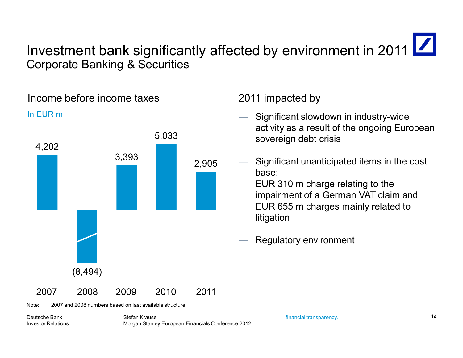# Investment bank significantly affected by environment in 2011 | Corporate Banking & Securities

![](_page_13_Figure_1.jpeg)

Note: 2007 and 2008 numbers based on last available structure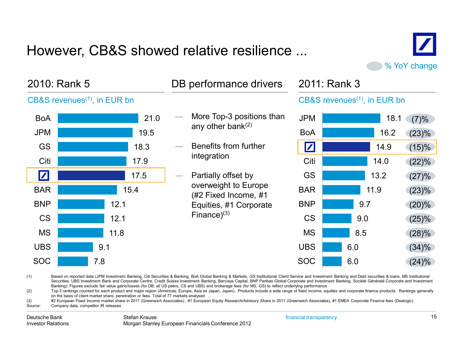# However, CB&S showed relative resilience ...

![](_page_14_Picture_1.jpeg)

| 2010: Rank 5                                                                                                                                                                                                                                                                                                                                                                                                                                                                                                                                                                                                                                                                                                                                                                                                                                                                                                                                                                                                                                                                                                                                                         |                                                         |      | 2011: Rank 3<br>DB performance drivers                              |                                                         |      |               |  |  |  |
|----------------------------------------------------------------------------------------------------------------------------------------------------------------------------------------------------------------------------------------------------------------------------------------------------------------------------------------------------------------------------------------------------------------------------------------------------------------------------------------------------------------------------------------------------------------------------------------------------------------------------------------------------------------------------------------------------------------------------------------------------------------------------------------------------------------------------------------------------------------------------------------------------------------------------------------------------------------------------------------------------------------------------------------------------------------------------------------------------------------------------------------------------------------------|---------------------------------------------------------|------|---------------------------------------------------------------------|---------------------------------------------------------|------|---------------|--|--|--|
|                                                                                                                                                                                                                                                                                                                                                                                                                                                                                                                                                                                                                                                                                                                                                                                                                                                                                                                                                                                                                                                                                                                                                                      | $CB&S$ revenues <sup><math>(1)</math></sup> , in EUR bn |      |                                                                     | $CB&S$ revenues <sup><math>(1)</math></sup> , in EUR bn |      |               |  |  |  |
| <b>BoA</b>                                                                                                                                                                                                                                                                                                                                                                                                                                                                                                                                                                                                                                                                                                                                                                                                                                                                                                                                                                                                                                                                                                                                                           |                                                         | 21.0 | More Top-3 positions than<br>any other bank $(2)$                   | <b>JPM</b>                                              |      | 18.1<br>(7)%  |  |  |  |
| <b>JPM</b>                                                                                                                                                                                                                                                                                                                                                                                                                                                                                                                                                                                                                                                                                                                                                                                                                                                                                                                                                                                                                                                                                                                                                           | 19.5                                                    |      |                                                                     | <b>BoA</b>                                              |      | 16.2<br>(23)% |  |  |  |
| <b>GS</b>                                                                                                                                                                                                                                                                                                                                                                                                                                                                                                                                                                                                                                                                                                                                                                                                                                                                                                                                                                                                                                                                                                                                                            | 18.3                                                    |      | Benefits from further                                               | $\boxed{\mathbf{Z}}$                                    | 14.9 | (15)%         |  |  |  |
| Citi                                                                                                                                                                                                                                                                                                                                                                                                                                                                                                                                                                                                                                                                                                                                                                                                                                                                                                                                                                                                                                                                                                                                                                 | 17.9                                                    |      | integration                                                         | Citi                                                    | 14.0 | (22)%         |  |  |  |
| $\boxed{\mathbf{Z}}$                                                                                                                                                                                                                                                                                                                                                                                                                                                                                                                                                                                                                                                                                                                                                                                                                                                                                                                                                                                                                                                                                                                                                 | 17.5                                                    |      | Partially offset by<br>overweight to Europe<br>(#2 Fixed Income, #1 | <b>GS</b>                                               | 13.2 | (27)%         |  |  |  |
| <b>BAR</b>                                                                                                                                                                                                                                                                                                                                                                                                                                                                                                                                                                                                                                                                                                                                                                                                                                                                                                                                                                                                                                                                                                                                                           | 15.4                                                    |      |                                                                     | <b>BAR</b>                                              | 11.9 | (23)%         |  |  |  |
| <b>BNP</b>                                                                                                                                                                                                                                                                                                                                                                                                                                                                                                                                                                                                                                                                                                                                                                                                                                                                                                                                                                                                                                                                                                                                                           | 12.1                                                    |      | Equities, #1 Corporate                                              | <b>BNP</b>                                              | 9.7  | (20)%         |  |  |  |
| <b>CS</b>                                                                                                                                                                                                                                                                                                                                                                                                                                                                                                                                                                                                                                                                                                                                                                                                                                                                                                                                                                                                                                                                                                                                                            | 12.1                                                    |      | Finance $(3)$                                                       | <b>CS</b>                                               | 9.0  | $(25)\%$      |  |  |  |
| <b>MS</b>                                                                                                                                                                                                                                                                                                                                                                                                                                                                                                                                                                                                                                                                                                                                                                                                                                                                                                                                                                                                                                                                                                                                                            | 11.8                                                    |      |                                                                     | <b>MS</b>                                               | 8.5  | (28)%         |  |  |  |
| <b>UBS</b>                                                                                                                                                                                                                                                                                                                                                                                                                                                                                                                                                                                                                                                                                                                                                                                                                                                                                                                                                                                                                                                                                                                                                           | 9.1                                                     |      |                                                                     | <b>UBS</b>                                              | 6.0  | (34)%         |  |  |  |
| <b>SOC</b>                                                                                                                                                                                                                                                                                                                                                                                                                                                                                                                                                                                                                                                                                                                                                                                                                                                                                                                                                                                                                                                                                                                                                           | 7.8                                                     |      |                                                                     | <b>SOC</b>                                              | 6.0  | $(24)\%$      |  |  |  |
| (1)<br>Based on reported data (JPM Investment Banking, Citi Securities & Banking, BoA Global Banking & Markets, GS Institutional Client Service and Investment Banking and Debt securities & Ioans, MS Institutional<br>Securities, UBS Investment Bank and Corporate Centre, Credit Suisse Investment Banking, Barclays Capital, BNP Paribas Global Corporate and Investment Banking, Société Généralé Corporate and Investment<br>Banking); Figures exclude fair value gains/losses (for DB, all US peers, CS and UBS) and brokerage fees (for MS, GS) to reflect underlying performance<br>Top 3 rankings counted for each product and major region (Americas, Europe, Asia ex Japan, Japan). Products include a wide range of fixed income, equities and corporate finance products. Rankings generally<br>(2)<br>on the basis of client market share, penetration or fees. Total of 77 markets analysed<br>#2 European Fixed Income market share in 2011 (Greenwich Associates), #1 European Equity Research/Advisory Share in 2011 (Greenwich Associates), #1 EMEA Corporate Finance fees (Dealogic)<br>(3)<br>$\sim$ .<br>Company data compositor ID relegges |                                                         |      |                                                                     |                                                         |      |               |  |  |  |

Source: Company data, competitor IR releases

financial transparency.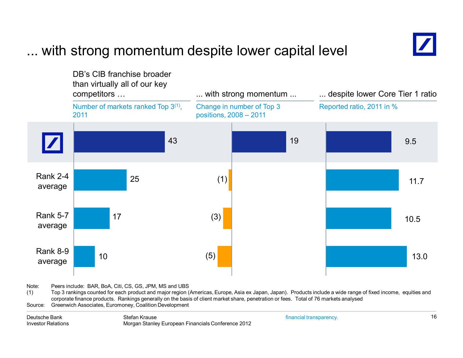# ... with strong momentum despite lower capital level

![](_page_15_Figure_1.jpeg)

Note: Peers include: BAR, BoA, Citi, CS, GS, JPM, MS and UBS

(1) Top 3 rankings counted for each product and major region (Americas, Europe, Asia ex Japan, Japan). Products include a wide range of fixed income, equities and corporate finance products. Rankings generally on the basis of client market share, penetration or fees. Total of 76 markets analysed

Source: Greenwich Associates, Euromoney, Coalition Development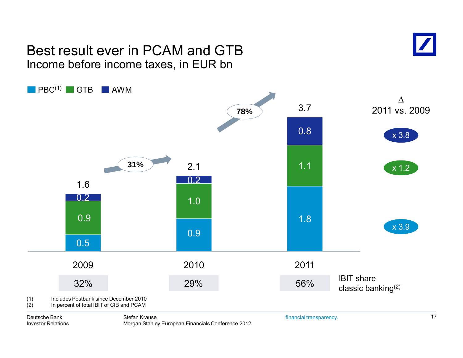### Best result ever in PCAM and GTBIncome before income taxes, in EUR bn

![](_page_16_Picture_1.jpeg)

![](_page_16_Figure_2.jpeg)

Deutsche BankInvestor Relations

Stefan KrauseMorgan Stanley European Financials Conference 2012 financial transparency.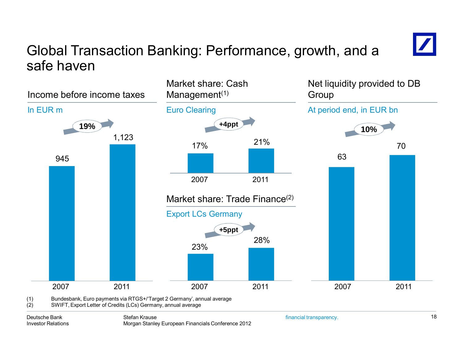# Global Transaction Banking: Performance, growth, and a safe haven

![](_page_17_Figure_1.jpeg)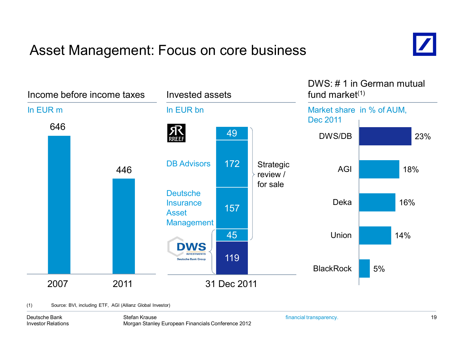# Asset Management: Focus on core business

![](_page_18_Picture_1.jpeg)

![](_page_18_Figure_2.jpeg)

(1) Source: BVI, including ETF, AGI (Allianz Global Investor)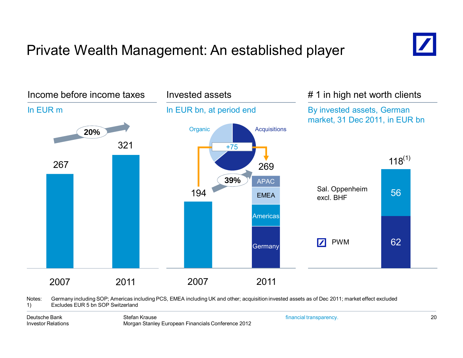# Private Wealth Management: An established player

![](_page_19_Figure_1.jpeg)

Notes: Germany including SOP; Americas including PCS, EMEA including UK and other; acquisition invested assets as of Dec 2011; market effect excluded 1) Excludes EUR 5 bn SOP Switzerland

![](_page_19_Picture_6.jpeg)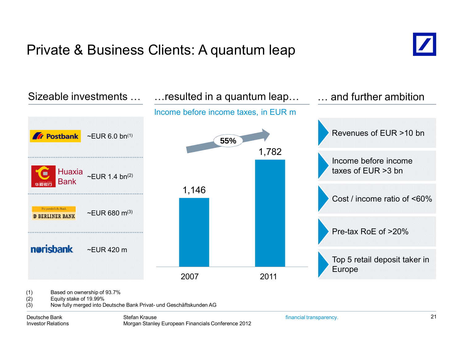# Private & Business Clients: A quantum leap

![](_page_20_Picture_1.jpeg)

![](_page_20_Figure_2.jpeg)

(2) Equity stake of 19.99%

(3) Now fully merged into Deutsche Bank Privat- und Geschäftskunden AG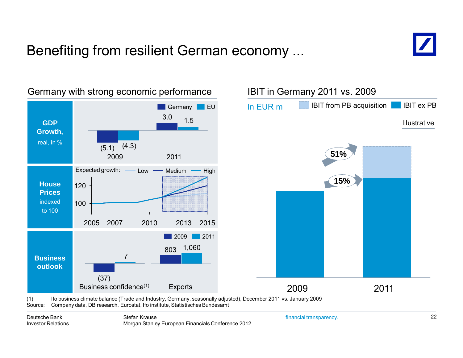# Benefiting from resilient German economy ...

![](_page_21_Picture_1.jpeg)

![](_page_21_Figure_2.jpeg)

### Germany with strong economic performance

![](_page_21_Figure_4.jpeg)

(1) Ifo business climate balance (Trade and Industry, Germany, seasonally adjusted), December 2011 vs. January 2009 Source: Company data, DB research, Eurostat, Ifo institute, Statistisches Bundesamt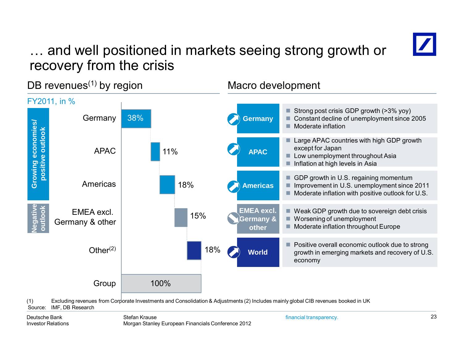# … and well positioned in markets seeing strong growth or recovery from the crisis

![](_page_22_Picture_1.jpeg)

(1) Excluding revenues from Corporate Investments and Consolidation & Adjustments (2) Includes mainly global CIB revenues booked in UK Source: IMF, DB Research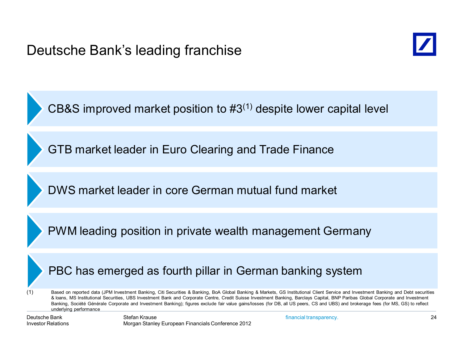![](_page_23_Picture_1.jpeg)

CB&S improved market position to  $#3<sup>(1)</sup>$  despite lower capital level

GTB market leader in Euro Clearing and Trade Finance

DWS market leader in core German mutual fund market

PWM leading position in private wealth management Germany

### PBC has emerged as fourth pillar in German banking system

(1) Based on reported data (JPM Investment Banking, Citi Securities & Banking, BoA Global Banking & Markets, GS Institutional Client Service and Investment Banking and Debt securities & loans, MS Institutional Securities, UBS Investment Bank and Corporate Centre, Credit Suisse Investment Banking, Barclays Capital, BNP Paribas Global Corporate and Investment Banking, Société Générale Corporate and Investment Banking); figures exclude fair value gains/losses (for DB, all US peers, CS and UBS) and brokerage fees (for MS, GS) to reflect underlying performance